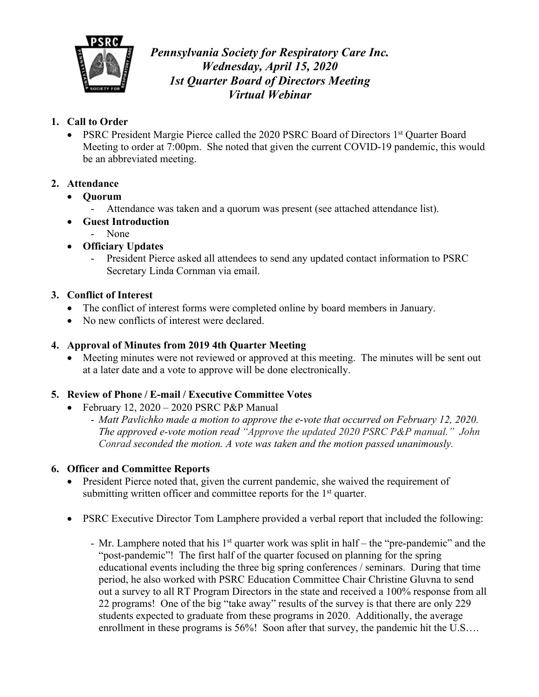

*Pennsylvania Society for Respiratory Care Inc. Wednesday, April 15, 2020 1st Quarter Board of Directors Meeting Virtual Webinar*

## **1. Call to Order**

• PSRC President Margie Pierce called the 2020 PSRC Board of Directors 1st Quarter Board Meeting to order at 7:00pm. She noted that given the current COVID-19 pandemic, this would be an abbreviated meeting.

# **2. Attendance**

- **Quorum**
	- Attendance was taken and a quorum was present (see attached attendance list).
- **Guest Introduction**
	- None
- **Officiary Updates**
	- President Pierce asked all attendees to send any updated contact information to PSRC Secretary Linda Cornman via email.

# **3. Conflict of Interest**

- The conflict of interest forms were completed online by board members in January.
- No new conflicts of interest were declared.

# **4. Approval of Minutes from 2019 4th Quarter Meeting**

• Meeting minutes were not reviewed or approved at this meeting. The minutes will be sent out at a later date and a vote to approve will be done electronically.

### **5. Review of Phone / E-mail / Executive Committee Votes**

- February 12,  $2020 2020$  PSRC P&P Manual
	- *Matt Pavlichko made a motion to approve the e-vote that occurred on February 12, 2020. The approved e-vote motion read "Approve the updated 2020 PSRC P&P manual." John Conrad seconded the motion. A vote was taken and the motion passed unanimously.*

### **6. Officer and Committee Reports**

- President Pierce noted that, given the current pandemic, she waived the requirement of submitting written officer and committee reports for the  $1<sup>st</sup>$  quarter.
- PSRC Executive Director Tom Lamphere provided a verbal report that included the following:
	- Mr. Lamphere noted that his 1<sup>st</sup> quarter work was split in half the "pre-pandemic" and the "post-pandemic"! The first half of the quarter focused on planning for the spring educational events including the three big spring conferences / seminars. During that time period, he also worked with PSRC Education Committee Chair Christine Gluvna to send out a survey to all RT Program Directors in the state and received a 100% response from all 22 programs! One of the big "take away" results of the survey is that there are only 229 students expected to graduate from these programs in 2020. Additionally, the average enrollment in these programs is 56%! Soon after that survey, the pandemic hit the U.S....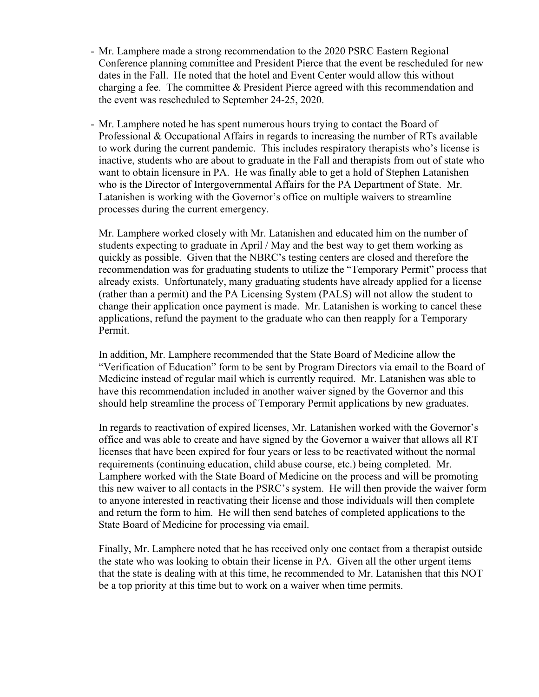- Mr. Lamphere made a strong recommendation to the 2020 PSRC Eastern Regional Conference planning committee and President Pierce that the event be rescheduled for new dates in the Fall. He noted that the hotel and Event Center would allow this without charging a fee. The committee & President Pierce agreed with this recommendation and the event was rescheduled to September 24-25, 2020.
- Mr. Lamphere noted he has spent numerous hours trying to contact the Board of Professional & Occupational Affairs in regards to increasing the number of RTs available to work during the current pandemic. This includes respiratory therapists who's license is inactive, students who are about to graduate in the Fall and therapists from out of state who want to obtain licensure in PA. He was finally able to get a hold of Stephen Latanishen who is the Director of Intergovernmental Affairs for the PA Department of State. Mr. Latanishen is working with the Governor's office on multiple waivers to streamline processes during the current emergency.

Mr. Lamphere worked closely with Mr. Latanishen and educated him on the number of students expecting to graduate in April / May and the best way to get them working as quickly as possible. Given that the NBRC's testing centers are closed and therefore the recommendation was for graduating students to utilize the "Temporary Permit" process that already exists. Unfortunately, many graduating students have already applied for a license (rather than a permit) and the PA Licensing System (PALS) will not allow the student to change their application once payment is made. Mr. Latanishen is working to cancel these applications, refund the payment to the graduate who can then reapply for a Temporary Permit.

In addition, Mr. Lamphere recommended that the State Board of Medicine allow the "Verification of Education" form to be sent by Program Directors via email to the Board of Medicine instead of regular mail which is currently required. Mr. Latanishen was able to have this recommendation included in another waiver signed by the Governor and this should help streamline the process of Temporary Permit applications by new graduates.

In regards to reactivation of expired licenses, Mr. Latanishen worked with the Governor's office and was able to create and have signed by the Governor a waiver that allows all RT licenses that have been expired for four years or less to be reactivated without the normal requirements (continuing education, child abuse course, etc.) being completed. Mr. Lamphere worked with the State Board of Medicine on the process and will be promoting this new waiver to all contacts in the PSRC's system. He will then provide the waiver form to anyone interested in reactivating their license and those individuals will then complete and return the form to him. He will then send batches of completed applications to the State Board of Medicine for processing via email.

Finally, Mr. Lamphere noted that he has received only one contact from a therapist outside the state who was looking to obtain their license in PA. Given all the other urgent items that the state is dealing with at this time, he recommended to Mr. Latanishen that this NOT be a top priority at this time but to work on a waiver when time permits.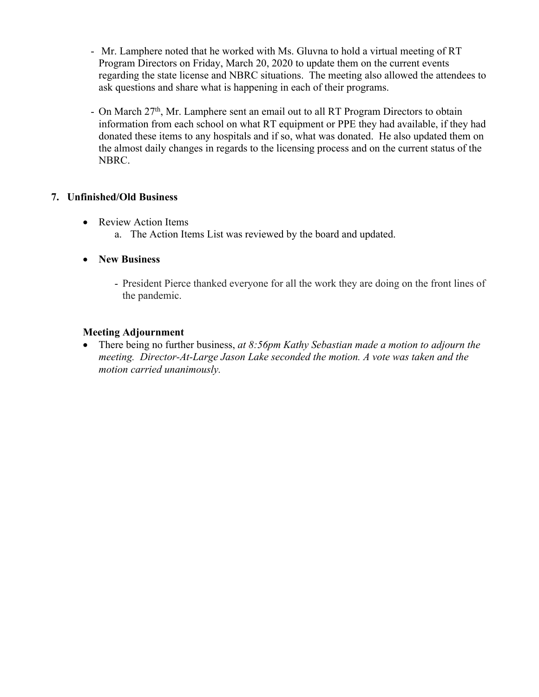- Mr. Lamphere noted that he worked with Ms. Gluvna to hold a virtual meeting of RT Program Directors on Friday, March 20, 2020 to update them on the current events regarding the state license and NBRC situations. The meeting also allowed the attendees to ask questions and share what is happening in each of their programs.
- On March 27<sup>th</sup>, Mr. Lamphere sent an email out to all RT Program Directors to obtain information from each school on what RT equipment or PPE they had available, if they had donated these items to any hospitals and if so, what was donated. He also updated them on the almost daily changes in regards to the licensing process and on the current status of the NBRC.

#### **7. Unfinished/Old Business**

- Review Action Items a. The Action Items List was reviewed by the board and updated.
- **New Business**
	- President Pierce thanked everyone for all the work they are doing on the front lines of the pandemic.

#### **Meeting Adjournment**

• There being no further business, *at 8:56pm Kathy Sebastian made a motion to adjourn the meeting. Director-At-Large Jason Lake seconded the motion. A vote was taken and the motion carried unanimously.*